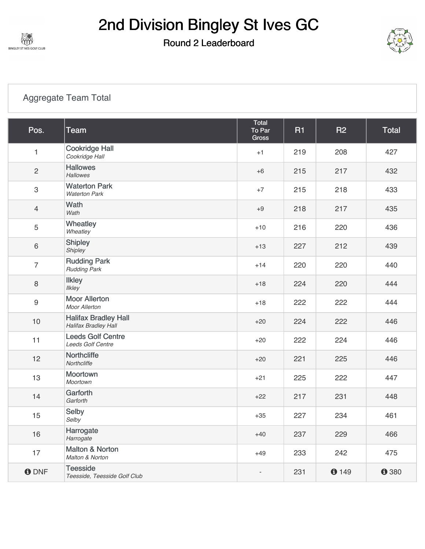

#### Round 2 Leaderboard



#### [Aggregate Team Total](https://cdn2.golfgenius.com/v2tournaments/7027112629734767456?called_from=&round_index=2)

| Pos.             | <b>Team</b>                                                | Total<br>To Par<br><b>Gross</b> | <b>R1</b> | <b>R2</b> | <b>Total</b> |
|------------------|------------------------------------------------------------|---------------------------------|-----------|-----------|--------------|
| 1                | <b>Cookridge Hall</b><br>Cookridge Hall                    | $+1$                            | 219       | 208       | 427          |
| $\overline{c}$   | <b>Hallowes</b><br><b>Hallowes</b>                         | $+6$                            | 215       | 217       | 432          |
| 3                | <b>Waterton Park</b><br><b>Waterton Park</b>               | $+7$                            | 215       | 218       | 433          |
| $\overline{4}$   | Wath<br>Wath                                               | $+9$                            | 218       | 217       | 435          |
| 5                | Wheatley<br>Wheatley                                       | $+10$                           | 216       | 220       | 436          |
| 6                | Shipley<br>Shipley                                         | $+13$                           | 227       | 212       | 439          |
| $\overline{7}$   | <b>Rudding Park</b><br><b>Rudding Park</b>                 | $+14$                           | 220       | 220       | 440          |
| $\,8\,$          | <b>Ilkley</b><br><b>Ilkley</b>                             | $+18$                           | 224       | 220       | 444          |
| $\boldsymbol{9}$ | <b>Moor Allerton</b><br><b>Moor Allerton</b>               | $+18$                           | 222       | 222       | 444          |
| 10               | <b>Halifax Bradley Hall</b><br><b>Halifax Bradley Hall</b> | $+20$                           | 224       | 222       | 446          |
| 11               | <b>Leeds Golf Centre</b><br><b>Leeds Golf Centre</b>       | $+20$                           | 222       | 224       | 446          |
| 12               | Northcliffe<br>Northcliffe                                 | $+20$                           | 221       | 225       | 446          |
| 13               | Moortown<br>Moortown                                       | $+21$                           | 225       | 222       | 447          |
| 14               | Garforth<br>Garforth                                       | $+22$                           | 217       | 231       | 448          |
| 15               | Selby<br>Selby                                             | $+35$                           | 227       | 234       | 461          |
| 16               | Harrogate<br>Harrogate                                     | $+40$                           | 237       | 229       | 466          |
| 17               | Malton & Norton<br>Malton & Norton                         | $+49$                           | 233       | 242       | 475          |
| <b>ODNF</b>      | <b>Teesside</b><br>Teesside, Teesside Golf Club            | $\overline{\phantom{a}}$        | 231       | 0149      | <b>0</b> 380 |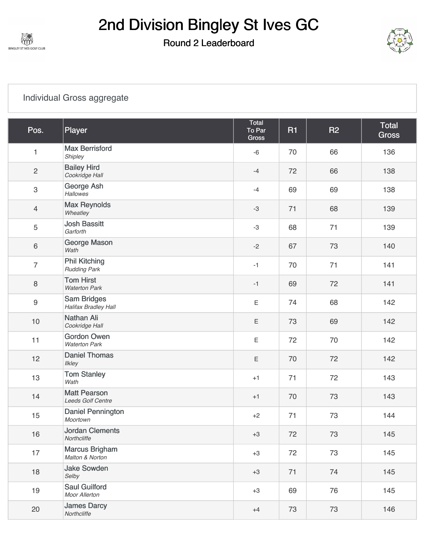

#### Round 2 Leaderboard



#### [Individual Gross aggregate](https://cdn2.golfgenius.com/v2tournaments/7027112647719943011?called_from=&round_index=2)

| Pos.                      | Player                                            | Total<br>To Par<br><b>Gross</b> | <b>R1</b> | <b>R2</b> | <b>Total</b><br><b>Gross</b> |
|---------------------------|---------------------------------------------------|---------------------------------|-----------|-----------|------------------------------|
| 1                         | <b>Max Berrisford</b><br>Shipley                  | $-6$                            | 70        | 66        | 136                          |
| $\overline{c}$            | <b>Bailey Hird</b><br>Cookridge Hall              | $-4$                            | 72        | 66        | 138                          |
| $\ensuremath{\mathsf{3}}$ | George Ash<br><b>Hallowes</b>                     | $-4$                            | 69        | 69        | 138                          |
| 4                         | <b>Max Reynolds</b><br>Wheatley                   | $-3$                            | 71        | 68        | 139                          |
| 5                         | <b>Josh Bassitt</b><br>Garforth                   | $-3$                            | 68        | 71        | 139                          |
| 6                         | George Mason<br>Wath                              | $-2$                            | 67        | 73        | 140                          |
| $\overline{7}$            | <b>Phil Kitching</b><br><b>Rudding Park</b>       | $-1$                            | 70        | 71        | 141                          |
| 8                         | <b>Tom Hirst</b><br><b>Waterton Park</b>          | $-1$                            | 69        | 72        | 141                          |
| $\boldsymbol{9}$          | <b>Sam Bridges</b><br><b>Halifax Bradley Hall</b> | $\mathsf E$                     | 74        | 68        | 142                          |
| $10$                      | <b>Nathan Ali</b><br>Cookridge Hall               | $\mathsf E$                     | 73        | 69        | 142                          |
| 11                        | <b>Gordon Owen</b><br><b>Waterton Park</b>        | $\mathsf E$                     | 72        | 70        | 142                          |
| 12                        | <b>Daniel Thomas</b><br>Ilkley                    | $\mathsf E$                     | 70        | 72        | 142                          |
| 13                        | <b>Tom Stanley</b><br>Wath                        | $+1$                            | 71        | 72        | 143                          |
| 14                        | <b>Matt Pearson</b><br>Leeds Golf Centre          | $+1$                            | 70        | 73        | 143                          |
| 15                        | Daniel Pennington<br>Moortown                     | $+2$                            | 71        | 73        | 144                          |
| 16                        | <b>Jordan Clements</b><br>Northcliffe             | $+3$                            | 72        | 73        | 145                          |
| 17                        | <b>Marcus Brigham</b><br>Malton & Norton          | $+3$                            | 72        | 73        | 145                          |
| 18                        | <b>Jake Sowden</b><br>Selby                       | $+3$                            | 71        | 74        | 145                          |
| 19                        | <b>Saul Guilford</b><br>Moor Allerton             | $+3$                            | 69        | 76        | 145                          |
| 20                        | <b>James Darcy</b><br>Northcliffe                 | $+4$                            | 73        | 73        | 146                          |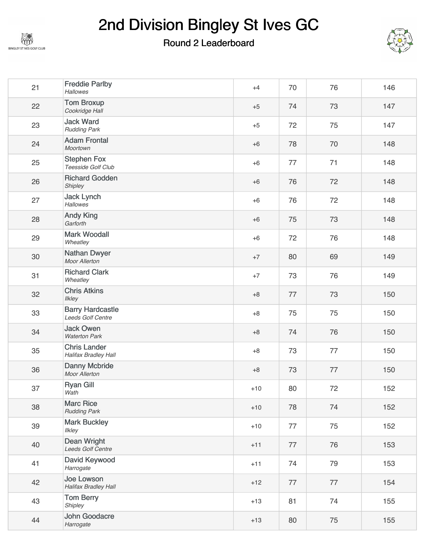

### Round 2 Leaderboard



| 21 | <b>Freddie Parlby</b><br><b>Hallowes</b>           | $+4$  | 70 | 76 | 146 |
|----|----------------------------------------------------|-------|----|----|-----|
| 22 | <b>Tom Broxup</b><br>Cookridge Hall                | $+5$  | 74 | 73 | 147 |
| 23 | <b>Jack Ward</b><br><b>Rudding Park</b>            | $+5$  | 72 | 75 | 147 |
| 24 | <b>Adam Frontal</b><br>Moortown                    | $+6$  | 78 | 70 | 148 |
| 25 | <b>Stephen Fox</b><br>Teesside Golf Club           | $+6$  | 77 | 71 | 148 |
| 26 | <b>Richard Godden</b><br>Shipley                   | $+6$  | 76 | 72 | 148 |
| 27 | <b>Jack Lynch</b><br><b>Hallowes</b>               | $+6$  | 76 | 72 | 148 |
| 28 | <b>Andy King</b><br>Garforth                       | $+6$  | 75 | 73 | 148 |
| 29 | <b>Mark Woodall</b><br>Wheatley                    | $+6$  | 72 | 76 | 148 |
| 30 | <b>Nathan Dwyer</b><br><b>Moor Allerton</b>        | $+7$  | 80 | 69 | 149 |
| 31 | <b>Richard Clark</b><br>Wheatley                   | $+7$  | 73 | 76 | 149 |
| 32 | <b>Chris Atkins</b><br><b>Ilkley</b>               | $+8$  | 77 | 73 | 150 |
| 33 | <b>Barry Hardcastle</b><br>Leeds Golf Centre       | $+8$  | 75 | 75 | 150 |
| 34 | <b>Jack Owen</b><br><b>Waterton Park</b>           | $+8$  | 74 | 76 | 150 |
| 35 | <b>Chris Lander</b><br><b>Halifax Bradley Hall</b> | $+8$  | 73 | 77 | 150 |
| 36 | <b>Danny Mcbride</b><br>Moor Allerton              | $+8$  | 73 | 77 | 150 |
| 37 | <b>Ryan Gill</b><br>Wath                           | $+10$ | 80 | 72 | 152 |
| 38 | <b>Marc Rice</b><br><b>Rudding Park</b>            | $+10$ | 78 | 74 | 152 |
| 39 | <b>Mark Buckley</b><br>Ilkley                      | $+10$ | 77 | 75 | 152 |
| 40 | <b>Dean Wright</b><br>Leeds Golf Centre            | $+11$ | 77 | 76 | 153 |
| 41 | David Keywood<br>Harrogate                         | $+11$ | 74 | 79 | 153 |
| 42 | Joe Lowson<br><b>Halifax Bradley Hall</b>          | $+12$ | 77 | 77 | 154 |
| 43 | <b>Tom Berry</b><br>Shipley                        | $+13$ | 81 | 74 | 155 |
| 44 | John Goodacre<br>Harrogate                         | $+13$ | 80 | 75 | 155 |